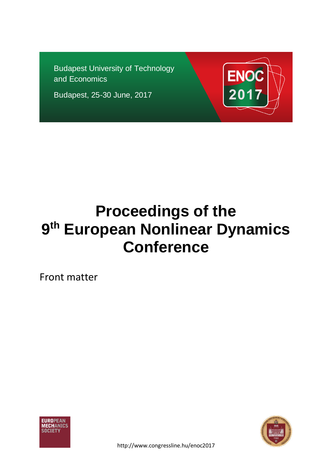Budapest University of Technology and Economics

Budapest, 25-30 June, 2017



# **Proceedings of the 9 th European Nonlinear Dynamics Conference**

Front matter



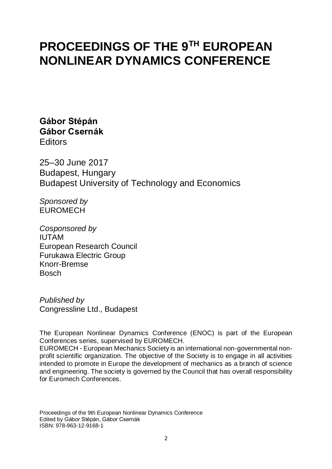# **PROCEEDINGS OF THE 9TH EUROPEAN NONLINEAR DYNAMICS CONFERENCE**

**Gábor Stépán Gábor Csernák Editors** 

25–30 June 2017 Budapest, Hungary Budapest University of Technology and Economics

*Sponsored by* EUROMECH

*Cosponsored by* IUTAM European Research Council Furukawa Electric Group Knorr-Bremse Bosch

*Published by* Congressline Ltd., Budapest

The European Nonlinear Dynamics Conference (ENOC) is part of the European Conferences series, supervised by EUROMECH.

EUROMECH - European Mechanics Society is an international non-governmental nonprofit scientific organization. The objective of the Society is to engage in all activities intended to promote in Europe the development of mechanics as a branch of science and engineering. The society is governed by the Council that has overall responsibility for Euromech Conferences.

Proceedings of the 9th European Nonlinear Dynamics Conference Edited by Gábor Stépán, Gábor Csernák ISBN: 978-963-12-9168-1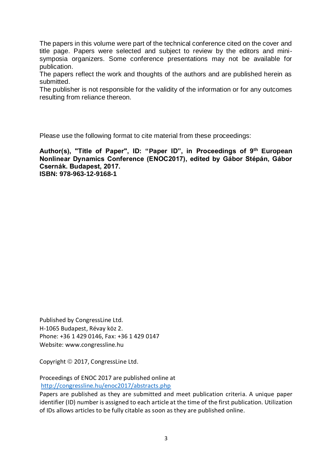The papers in this volume were part of the technical conference cited on the cover and title page. Papers were selected and subject to review by the editors and minisymposia organizers. Some conference presentations may not be available for publication.

The papers reflect the work and thoughts of the authors and are published herein as submitted.

The publisher is not responsible for the validity of the information or for any outcomes resulting from reliance thereon.

Please use the following format to cite material from these proceedings:

**Author(s), "Title of Paper", ID: "Paper ID", in Proceedings of 9th European Nonlinear Dynamics Conference (ENOC2017), edited by Gábor Stépán, Gábor Csernák. Budapest, 2017. ISBN: 978-963-12-9168-1**

Published by CongressLine Ltd. H-1065 Budapest, Révay köz 2. Phone: +36 1 429 0146, Fax: +36 1 429 0147 Website: www.congressline.hu

Copyright © 2017, CongressLine Ltd.

Proceedings of ENOC 2017 are published online at <http://congressline.hu/enoc2017/abstracts.php>

Papers are published as they are submitted and meet publication criteria. A unique paper identifier (ID) number is assigned to each article at the time of the first publication. Utilization of IDs allows articles to be fully citable as soon as they are published online.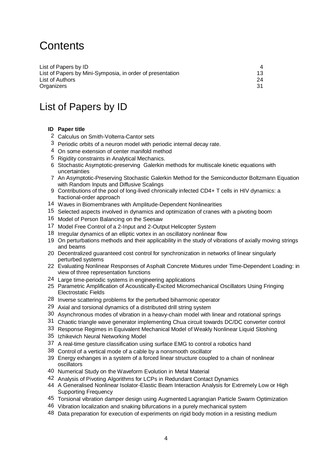# **Contents**

| List of Papers by ID                                      |     |
|-----------------------------------------------------------|-----|
| List of Papers by Mini-Symposia, in order of presentation | 13. |
| List of Authors                                           | 24  |
| Organizers                                                |     |

## List of Papers by ID

#### **ID Paper title**

- Calculus on Smith-Volterra-Cantor sets
- Periodic orbits of a neuron model with periodic internal decay rate.
- On some extension of center manifold method
- Rigidity constraints in Analytical Mechanics.
- Stochastic Asymptotic-preserving Galerkin methods for multiscale kinetic equations with uncertainties
- An Asymptotic-Preserving Stochastic Galerkin Method for the Semiconductor Boltzmann Equation with Random Inputs and Diffusive Scalings
- Contributions of the pool of long-lived chronically infected CD4+ T cells in HIV dynamics: a fractional-order approach
- Waves in Biomembranes with Amplitude-Dependent Nonlinearities
- Selected aspects involved in dynamics and optimization of cranes with a pivoting boom
- Model of Person Balancing on the Seesaw
- Model Free Control of a 2-Input and 2-Output Helicopter System
- Irregular dynamics of an elliptic vortex in an oscillatory nonlinear flow
- On perturbations methods and their applicability in the study of vibrations of axially moving strings and beams
- Decentralized guaranteed cost control for synchronization in networks of linear singularly perturbed systems
- Evaluating Nonlinear Responses of Asphalt Concrete Mixtures under Time-Dependent Loading: in view of three representation functions
- Large time-periodic systems in engineering applications
- Parametric Amplification of Acoustically-Excited Micromechanical Oscillators Using Fringing Electrostatic Fields
- Inverse scattering problems for the perturbed biharmonic operator
- Axial and torsional dynamics of a distributed drill string system
- Asynchronous modes of vibration in a heavy-chain model with linear and rotational springs
- Chaotic triangle wave generator implementing Chua circuit towards DC/DC converter control
- Response Regimes in Equivalent Mechanical Model of Weakly Nonlinear Liquid Sloshing
- Izhikevich Neural Networking Model
- A real-time gesture classification using surface EMG to control a robotics hand
- Control of a vertical mode of a cable by a nonsmooth oscillator
- Energy exhanges in a system of a forced linear structure coupled to a chain of nonlinear oscillators
- Numerical Study on the Waveform Evolution in Metal Material
- Analysis of Pivoting Algorithms for LCPs in Redundant Contact Dynamics
- A Generalised Nonlinear Isolator-Elastic Beam Interaction Analysis for Extremely Low or High Supporting Frequency
- Torsional vibration damper design using Augmented Lagrangian Particle Swarm Optimization
- 46 Vibration localization and snaking bifurcations in a purely mechanical system
- Data preparation for execution of experiments on rigid body motion in a resisting medium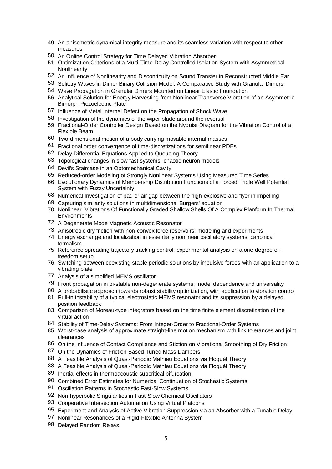- An anisometric dynamical integrity measure and its seamless variation with respect to other measures
- An Online Control Strategy for Time Delayed Vibration Absorber
- Optimization Criterions of a Multi-Time-Delay Controlled Isolation System with Asymmetrical Nonlinearity
- An Influence of Nonlinearity and Discontinuity on Sound Transfer in Reconstructed Middle Ear
- Solitary Waves in Dimer Binary Collision Model: A Comparative Study with Granular Dimers
- Wave Propagation in Granular Dimers Mounted on Linear Elastic Foundation
- Analytical Solution for Energy Harvesting from Nonlinear Transverse Vibration of an Asymmetric Bimorph Piezoelectric Plate
- Influence of Metal Internal Defect on the Propagation of Shock Wave
- Investigation of the dynamics of the wiper blade around the reversal
- Fractional-Order Controller Design Based on the Nyquist Diagram for the Vibration Control of a Flexible Beam
- Two-dimensional motion of a body carrying movable internal masses
- Fractional order convergence of time-discretizations for semilinear PDEs
- Delay-Differential Equations Applied to Queueing Theory
- Topological changes in slow-fast systems: chaotic neuron models
- Devil's Staircase in an Optomechanical Cavity
- Reduced-order Modeling of Strongly Nonlinear Systems Using Measured Time Series
- Evolutionary Dynamics of Membership Distribution Functions of a Forced Triple Well Potential System with Fuzzy Uncertainty
- Numerical Investigation of pad or air gap between the high explosive and flyer in impelling
- Capturing similarity solutions in multidimensional Burgers' equation
- Nonlinear Vibrations Of Functionally Graded Shallow Shells Of A Complex Planform In Thermal **Environments**
- A Degenerate Mode Magnetic Acoustic Resonator
- Anisotropic dry friction with non-convex force reservoirs: modeling and experiments
- Energy exchange and localization in essentially nonlinear oscillatory systems: canonical formalism.
- Reference spreading trajectory tracking control: experimental analysis on a one-degree-offreedom setup
- Switching between coexisting stable periodic solutions by impulsive forces with an application to a vibrating plate
- Analysis of a simplified MEMS oscillator
- Front propagation in bi-stable non-degenerate systems: model dependence and universality
- A probabilistic approach towards robust stability optimization, with application to vibration control Pull-in instability of a typical electrostatic MEMS resonator and its suppression by a delayed
- position feedback Comparison of Moreau-type integrators based on the time finite element discretization of the virtual action
- Stability of Time-Delay Systems: From Integer-Order to Fractional-Order Systems
- Worst-case analysis of approximate straight-line motion mechanism with link tolerances and joint clearances
- 86 On the Influence of Contact Compliance and Stiction on Vibrational Smoothing of Dry Friction
- 87 On the Dynamics of Friction Based Tuned Mass Dampers
- 88 A Feasible Analysis of Quasi-Periodic Mathieu Equations via Floquét Theory
- A Feasible Analysis of Quasi-Periodic Mathieu Equations via Floquét Theory
- Inertial effects in thermoacoustic subcritical bifurcation
- Combined Error Estimates for Numerical Continuation of Stochastic Systems
- Oscillation Patterns in Stochastic Fast-Slow Systems
- Non-hyperbolic Singularities in Fast-Slow Chemical Oscillators
- 93 Cooperative Intersection Automation Using Virtual Platoons
- Experiment and Analysis of Active Vibration Suppression via an Absorber with a Tunable Delay
- Nonlinear Resonances of a Rigid-Flexible Antenna System
- Delayed Random Relays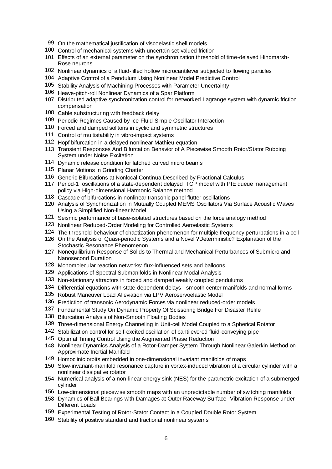- On the mathematical justification of viscoelastic shell models
- Control of mechanical systems with uncertain set-valued friction
- Effects of an external parameter on the synchronization threshold of time-delayed Hindmarsh-Rose neurons
- Nonlinear dynamics of a fluid-filled hollow microcantilever subjected to flowing particles
- Adaptive Control of a Pendulum Using Nonlinear Model Predictive Control
- Stability Analysis of Machining Processes with Parameter Uncertainty
- Heave-pitch-roll Nonlinear Dynamics of a Spar Platform
- Distributed adaptive synchronization control for networked Lagrange system with dynamic friction compensation
- Cable substructuring with feedback delay
- Periodic Regimes Caused by Ice-Fluid-Simple Oscillator Interaction
- Forced and damped solitons in cyclic and symmetric structures
- Control of multistability in vibro-impact systems
- Hopf bifurcation in a delayed nonlinear Mathieu equation
- Transient Responses And Bifurcation Behavior of A Piecewise Smooth Rotor/Stator Rubbing System under Noise Excitation
- Dynamic release condition for latched curved micro beams
- Planar Motions in Grinding Chatter
- Generic Bifurcations at Nonlocal Continua Described by Fractional Calculus
- Period-1 oscillations of a state-dependent delayed TCP model with PIE queue management policy via High-dimensional Harmonic Balance method
- Cascade of bifurcations in nonlinear transonic panel flutter oscillations
- Analysis of Synchronization in Mutually Coupled MEMS Oscillators Via Surface Acoustic Waves Using a Simplified Non-linear Model
- Seismic performance of base-isolated structures based on the force analogy method
- Nonlinear Reduced-Order Modeling for Controlled Aeroelastic Systems
- The threshold behaviour of chaotization phenomenon for multiple frequency perturbations in a cell
- On the Analysis of Quasi-periodic Systems and a Novel ?Deterministic? Explanation of the Stochastic Resonance Phenomenon
- Nonequilibrium Response of Solids to Thermal and Mechanical Perturbances of Submicro and Nanosecond Duration
- Monomolecular reaction networks: flux-influenced sets and balloons
- Applications of Spectral Submanifolds in Nonlinear Modal Analysis
- Non-stationary attractors in forced and damped weakly coupled pendulums
- Differential equations with state-dependent delays smooth center manifolds and normal forms
- Robust Maneuver Load Alleviation via LPV Aeroservoelastic Model
- Prediction of transonic Aerodynamic Forces via nonlinear reduced-order models
- Fundamental Study On Dynamic Property Of Scissoring Bridge For Disaster Relife
- Bifurcation Analysis of Non-Smooth Floating Bodies
- Three-dimensional Energy Channeling in Unit-cell Model Coupled to a Spherical Rotator
- Stabilization control for self-excited oscillation of cantilevered fluid-conveying pipe
- Optimal Timing Control Using the Augmented Phase Reduction
- Nonlinear Dynamics Analysis of a Rotor-Damper System Through Nonlinear Galerkin Method on Approximate Inertial Manifold
- Homoclinic orbits embedded in one-dimensional invariant manifolds of maps
- Slow-invariant-manifold resonance capture in vortex-induced vibration of a circular cylinder with a nonlinear dissipative rotator
- Numerical analysis of a non-linear energy sink (NES) for the parametric excitation of a submerged cylinder
- Low-dimensional piecewise smooth maps with an unpredictable number of switching manifolds
- Dynamics of Ball Bearings with Damages at Outer Raceway Surface -Vibration Response under Different Loads
- Experimental Testing of Rotor-Stator Contact in a Coupled Double Rotor System
- Stability of positive standard and fractional nonlinear systems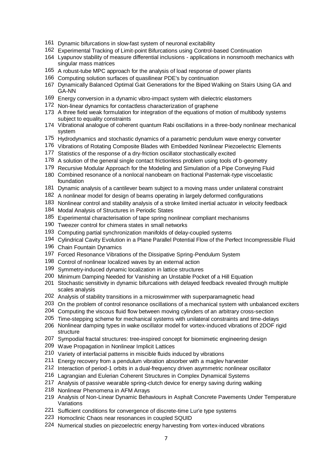- Dynamic bifurcations in slow-fast system of neuronal excitability
- Experimental Tracking of Limit-point Bifurcations using Control-based Continuation
- Lyapunov stability of measure differential inclusions applications in nonsmooth mechanics with singular mass matrices
- A robust-tube MPC approach for the analysis of load response of power plants
- Computing solution surfaces of quasilinear PDE's by continuation
- Dynamically Balanced Optimal Gait Generations for the Biped Walking on Stairs Using GA and GA-NN
- Energy conversion in a dynamic vibro-impact system with dielectric elastomers
- Non-linear dynamics for contactless characterization of graphene
- A three field weak formulation for integration of the equations of motion of multibody systems subject to equality constraints
- Vibrational analogue of coherent quantum Rabi oscillations in a three-body nonlinear mechanical system
- Hydrodynamics and stochastic dynamics of a parametric pendulum wave energy converter
- Vibrations of Rotating Composite Blades with Embedded Nonlinear Piezoelectric Elements
- Statistics of the response of a dry-friction oscillator stochastically excited
- 178 A solution of the general single contact frictionless problem using tools of b-geometry
- Recursive Modular Approach for the Modeling and Simulation of a Pipe Conveying Fluid
- Combined resonance of a nonlocal nanobeam on fractional Pasternak-type viscoelastic foundation
- Dynamic analysis of a cantilever beam subject to a moving mass under unilateral constraint
- A nonlinear model for design of beams operating in largely deformed configurations
- Nonlinear control and stability analysis of a stroke limited inertial actuator in velocity feedback
- Modal Analysis of Structures in Periodic States
- Experimental characterisation of tape spring nonlinear compliant mechanisms
- Tweezer control for chimera states in small networks
- Computing partial synchronization manifolds of delay-coupled systems
- Cylindrical Cavity Evolution in a Plane Parallel Potential Flow of the Perfect Incompressible Fluid
- Chain Fountain Dynamics
- Forced Resonance Vibrations of the Dissipative Spring-Pendulum System
- Control of nonlinear localized waves by an external action
- Symmetry-induced dynamic localization in lattice structures
- Minimum Damping Needed for Vanishing an Unstable Pocket of a Hill Equation
- Stochastic sensitivity in dynamic bifurcations with delayed feedback revealed through multiple scales analysis
- Analysis of stability transitions in a microswimmer with superparamagnetic head
- On the problem of control resonance oscillations of a mechanical system with unbalanced exciters
- Computing the viscous fluid flow between moving cylinders of an arbitrary cross-section
- Time-stepping scheme for mechanical systems with unilateral constraints and time-delays
- Nonlinear damping types in wake oscillator model for vortex-induced vibrations of 2DOF rigid structure
- Sympodial fractal structures: tree-inspired concept for biomimetic engineering design
- Wave Propagation in Nonlinear Implicit Lattices
- Variety of interfacial patterns in miscible fluids induced by vibrations
- Energy recovery from a pendulum vibration absorber with a maglev harvester
- Interaction of period-1 orbits in a dual-frequency driven asymmetric nonlinear oscillator
- Lagrangian and Eulerian Coherent Structures in Complex Dynamical Systems
- Analysis of passive wearable spring-clutch device for energy saving during walking
- Nonlinear Phenomena in AFM Arrays
- Analysis of Non-Linear Dynamic Behaviours in Asphalt Concrete Pavements Under Temperature Variations
- Sufficient conditions for convergence of discrete-time Lur'e type systems
- Homoclinic Chaos near resonances in coupled SQUID
- Numerical studies on piezoelectric energy harvesting from vortex-induced vibrations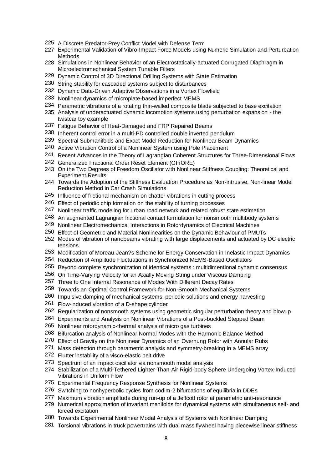- A Discrete Predator-Prey Conflict Model with Defense Term
- Experimental Validation of Vibro-Impact Force Models using Numeric Simulation and Perturbation Methods
- Simulations in Nonlinear Behavior of an Electrostatically-actuated Corrugated Diaphragm in Microelectromechanical System Tunable Filters
- Dynamic Control of 3D Directional Drilling Systems with State Estimation
- String stability for cascaded systems subject to disturbances
- Dynamic Data-Driven Adaptive Observations in a Vortex Flowfield
- Nonlinear dynamics of microplate-based imperfect MEMS
- Parametric vibrations of a rotating thin-walled composite blade subjected to base excitation
- Analysis of underactuated dynamic locomotion systems using perturbation expansion the twistcar toy example
- Fatigue Behavior of Heat-Damaged and FRP Repaired Beams
- Inherent control error in a multi-PD controlled double inverted pendulum
- Spectral Submanifolds and Exact Model Reduction for Nonlinear Beam Dynamics
- Active Vibration Control of a Nonlinear System using Pole Placement
- Recent Advances in the Theory of Lagrangian Coherent Structures for Three-Dimensional Flows
- Generalized Fractional Order Reset Element (GFrORE)
- On the Two Degrees of Freedom Oscillator with Nonlinear Stiffness Coupling: Theoretical and Experiment Results
- Towards the Adoption of the Stiffness Evaluation Procedure as Non-intrusive, Non-linear Model Reduction Method in Car Crash Simulations
- Influence of frictional mechanism on chatter vibrations in cutting process
- Effect of periodic chip formation on the stability of turning processes
- Nonlinear traffic modeling for urban road network and related robust state estimation
- An augmented Lagrangian frictional contact formulation for nonsmooth multibody systems
- Nonlinear Electromechanical Interactions in Rotordynamics of Electrical Machines
- Effect of Geometric and Material Nonlinearities on the Dynamic Behaviour of PMUTs
- Modes of vibration of nanobeams vibrating with large displacements and actuated by DC electric tensions
- Modification of Moreau-Jean?s Scheme for Energy Conservation in Inelastic Impact Dynamics
- Reduction of Amplitude Fluctuations in Synchronized MEMS-Based Oscillators
- Beyond complete synchronization of identical systems : multidimentional dynamic consensus
- On Time-Varying Velocity for an Axially Moving String under Viscous Damping
- Three to One Internal Resonance of Modes With Different Decay Rates
- Towards an Optimal Control Framework for Non-Smooth Mechanical Systems
- Impulsive damping of mechanical systems: periodic solutions and energy harvesting
- Flow-induced vibration of a D-shape cylinder
- Regularization of nonsmooth systems using geometric singular perturbation theory and blowup
- Experiments and Analysis on Nonlinear Vibrations of a Post-buckled Stepped Beam
- Nonlinear rotordynamic-thermal analysis of micro gas turbines
- Bifurcation analysis of Nonlinear Normal Modes with the Harmonic Balance Method
- Effect of Gravity on the Nonlinear Dynamics of an Overhung Rotor with Annular Rubs
- Mass detection through parametric analysis and symmetry-breaking in a MEMS array
- Flutter instability of a visco-elastic belt drive
- Spectrum of an impact oscillator via nonsmooth modal analysis
- Stabilization of a Multi-Tethered Lighter-Than-Air Rigid-body Sphere Undergoing Vortex-Induced Vibrations in Uniform Flow
- Experimental Frequency Response Synthesis for Nonlinear Systems
- Switching to nonhyperbolic cycles from codim-2 bifurcations of equilibria in DDEs
- Maximum vibration amplitude during run-up of a Jeffcott rotor at parametric anti-resonance
- Numerical approximation of invariant manifolds for dynamical systems with simultaneous self- and forced excitation
- Towards Experimental Nonlinear Modal Analysis of Systems with Nonlinear Damping
- Torsional vibrations in truck powertrains with dual mass flywheel having piecewise linear stiffness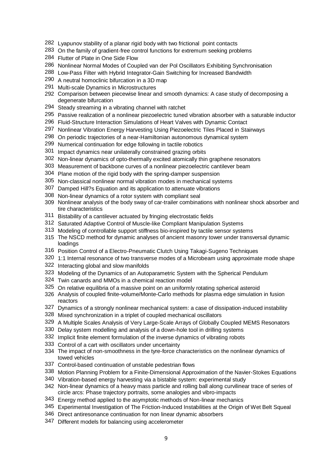- Lyapunov stability of a planar rigid body with two frictional point contacts
- On the family of gradient-free control functions for extremum seeking problems
- Flutter of Plate in One Side Flow
- Nonlinear Normal Modes of Coupled van der Pol Oscillators Exhibiting Synchronisation
- Low-Pass Filter with Hybrid Integrator-Gain Switching for Increased Bandwidth
- A neutral homoclinic bifurcation in a 3D map
- Multi-scale Dynamics in Microstructures
- Comparison between piecewise linear and smooth dynamics: A case study of decomposing a degenerate bifurcation
- Steady streaming in a vibrating channel with ratchet
- Passive realization of a nonlinear piezoelectric tuned vibration absorber with a saturable inductor
- Fluid-Structure Interaction Simulations of Heart Valves with Dynamic Contact
- Nonlinear Vibration Energy Harvesting Using Piezoelectric Tiles Placed in Stairways
- On periodic trajectories of a near-Hamiltonian autonomous dynamical system
- Numerical continuation for edge following in tactile robotics
- Impact dynamics near unilaterally constrained grazing orbits
- Non-linear dynamics of opto-thermally excited atomically thin graphene resonators
- Measurement of backbone curves of a nonlinear piezoelectric cantilever beam
- Plane motion of the rigid body with the spring-damper suspension
- Non-classical nonlinear normal vibration modes in mechanical systems
- Damped Hill?s Equation and its application to attenuate vibrations
- Non-linear dynamics of a rotor system with compliant seal
- Nonlinear analysis of the body sway of car-trailer combinations with nonlinear shock absorber and tire characteristics
- Bistability of a cantilever actuated by fringing electrostatic fields
- Saturated Adaptive Control of Muscle-like Compliant Manipulation Systems
- Modeling of controllable support stiffness bio-inspired by tactile sensor systems
- The NSCD method for dynamic analyses of ancient masonry tower under transversal dynamic loadings
- Position Control of a Electro-Pneumatic Clutch Using Takagi-Sugeno Techniques
- 1:1 Internal resonance of two transverse modes of a Microbeam using approximate mode shape
- Interacting global and slow manifolds
- Modeling of the Dynamics of an Autoparametric System with the Spherical Pendulum
- Twin canards and MMOs in a chemical reaction model
- On relative equilibria of a massive point on an uniformly rotating spherical asteroid
- Analysis of coupled finite-volume/Monte-Carlo methods for plasma edge simulation in fusion reactors
- Dynamics of a strongly nonlinear mechanical system: a case of dissipation-induced instability
- Mixed synchronization in a triplet of coupled mechanical oscillators
- A Multiple Scales Analysis of Very Large-Scale Arrays of Globally Coupled MEMS Resonators
- Delay system modelling and analysis of a down-hole tool in drilling systems
- Implicit finite element formulation of the inverse dynamics of vibrating robots
- Control of a cart with oscillators under uncertainty
- The impact of non-smoothness in the tyre-force characteristics on the nonlinear dynamics of towed vehicles
- Control-based continuation of unstable pedestrian flows
- Motion Planning Problem for a Finite-Dimensional Approximation of the Navier-Stokes Equations
- Vibration-based energy harvesting via a bistable system: experimental study
- Non-linear dynamics of a heavy mass particle and rolling ball along curvilinear trace of series of circle arcs: Phase trajectory portraits, some analogies and vibro-impacts
- Energy method applied to the asymptotic methods of Non-linear mechanics
- Experimental Investigation of The Friction-Induced Instabilities at the Origin of Wet Belt Squeal
- Direct antiresonance continuation for non linear dynamic absorbers
- Different models for balancing using accelerometer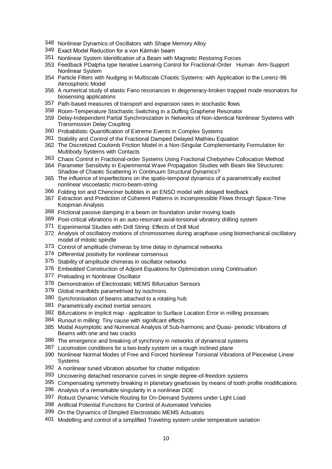- Nonlinear Dynamics of Oscillators with Shape Memory Alloy
- Exact Model Reduction for a von Kármán beam
- Nonlinear System Identification of a Beam with Magnetic Restoring Forces
- Feedback PDalpha type Iterative Learning Control for Fractional-Order Human Arm-Support Nonlinear System
- Particle Filters with Nudging in Multiscale Chaotic Systems: with Application to the Lorenz-96 Atmospheric Model
- A numerical study of elastic Fano resonances in degeneracy-broken trapped mode resonators for biosensing applications
- Path-based measures of transport and expansion rates in stochastic flows
- Room-Temperature Stochastic Switching in a Duffing Graphene Resonator
- Delay-Independent Partial Synchronization in Networks of Non-identical Nonlinear Systems with Transmission Delay Coupling
- Probabilistic Quantification of Extreme Events in Complex Systems
- Stability and Control of the Fractional Damped Delayed Mathieu Equation
- The Discretized Coulomb Friction Model in a Non-Singular Complementarity Formulation for Multibody Systems with Contacts
- Chaos Control in Fractional-order Systems Using Fractional Chebyshev Collocation Method
- Parameter Sensitivity in Experimental Wave Propagation Studies with Beam like Structures: Shadow of Chaotic Scattering in Continuum Structural Dynamics?
- The influence of imperfections on the spatio-temporal dynamics of a parametrically excited nonlinear viscoelastic micro-beam-string
- Folding tori and Chenciner bubbles in an ENSO model with delayed feedback
- Extraction and Prediction of Coherent Patterns in Incompressible Flows through Space-Time Koopman Analysis
- Frictional passive damping in a beam on foundation under moving loads
- Post-critical vibrations in an auto-resonant axial-torsional vibratory drilling system
- Experimental Studies with Drill String: Effects of Drill Mud
- Analysis of oscillatory motions of chromosomes during anaphase using biomechanical oscillatory model of mitotic spindle
- Control of amplitude chimeras by time delay in dynamical networks
- Differential positivity for nonlinear consensus
- Stability of amplitude chimeras in oscillator networks
- Embedded Construction of Adjoint Equations for Optimization using Continuation
- Preloading in Nonlinear Oscillator
- Demonstration of Electrostatic MEMS Bifurcation Sensors
- Global manifolds parametrised by isochrons
- Synchronisation of beams attached to a rotating hub
- Parametrically excited inertial sensors
- Bifurcations in implicit map application to Surface Location Error in milling processes
- Runout in milling: Tiny cause with significant effects
- Modal Asymptotic and Numerical Analysis of Sub-harmonic and Quasi- periodic Vibrations of Beams with one and two cracks
- The emergence and breaking of synchrony in networks of dynamical systems
- Locomotion conditions for a two-body system on a rough inclined plane
- Nonlinear Normal Modes of Free and Forced Nonlinear Torsional Vibrations of Piecewise Linear Systems
- A nonlinear tuned vibration absorber for chatter mitigation
- Uncovering detached resonance curves in single degree-of-freedom systems
- Compensating symmetry breaking in planetary gearboxes by means of tooth profile modifications
- Analysis of a remarkable singularity in a nonlinear DDE
- Robust Dynamic Vehicle Routing for On-Demand Systems under Light Load
- Artificial Potential Functions for Control of Automated Vehicles
- On the Dynamics of Dimpled Electrostatic MEMS Actuators
- Modelling and control of a simplified Traveling system under temperature variation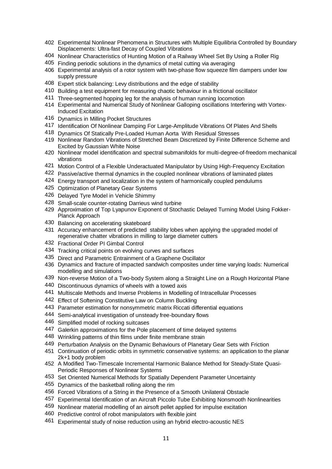- Experimental Nonlinear Phenomena in Structures with Multiple Equilibria Controlled by Boundary Displacements: Ultra-fast Decay of Coupled Vibrations
- Nonlinear Characteristics of Hunting Motion of a Railway Wheel Set By Using a Roller Rig
- Finding periodic solutions in the dynamics of metal cutting via averaging
- Experimental analysis of a rotor system with two-phase flow squeeze film dampers under low supply pressure
- Expert stick balancing: Levy distributions and the edge of stability
- Building a test equipment for measuring chaotic behaviour in a frictional oscillator
- Three-segmented hopping leg for the analysis of human running locomotion
- Experimental and Numerical Study of Nonlinear Galloping oscillations Interfering with Vortex-Induced Excitation
- Dynamics in Milling Pocket Structures
- Identification Of Nonlinear Damping For Large-Amplitude Vibrations Of Plates And Shells
- Dynamics Of Statically Pre-Loaded Human Aorta With Residual Stresses
- Nonlinear Random Vibrations of Stretched Beam Discretized by Finite Difference Scheme and Excited by Gaussian White Noise
- Nonlinear model identification and spectral submanifolds for multi-degree-of-freedom mechanical vibrations
- Motion Control of a Flexible Underactuated Manipulator by Using High-Frequency Excitation
- Passive/active thermal dynamics in the coupled nonlinear vibrations of laminated plates
- Energy transport and localization in the system of harmonically coupled pendulums
- Optimization of Planetary Gear Systems
- Delayed Tyre Model in Vehicle Shimmy
- Small-scale counter-rotating Darrieus wind turbine
- Approximation of Top Lyapunov Exponent of Stochastic Delayed Turning Model Using Fokker-Planck Approach
- Balancing on accelerating skateboard
- Accuracy enhancement of predicted stability lobes when applying the upgraded model of regenerative chatter vibrations in milling to large diameter cutters
- Fractional Order PI Gimbal Control
- Tracking critical points on evolving curves and surfaces
- Direct and Parametric Entrainment of a Graphene Oscillator
- Dynamics and fracture of impacted sandwich composites under time varying loads: Numerical modelling and simulations
- Non-reverse Motion of a Two-body System along a Straight Line on a Rough Horizontal Plane
- Discontinuous dynamics of wheels with a towed axis
- Multiscale Methods and Inverse Problems in Modelling of Intracellular Processes
- Effect of Softening Constitutive Law on Column Buckling
- Parameter estimation for nonsymmetric matrix Riccati differential equations
- Semi-analytical investigation of unsteady free-boundary flows
- Simplified model of rocking suitcases
- 447 Galerkin approximations for the Pole placement of time delayed systems
- Wrinkling patterns of thin films under finite membrane strain
- Perturbation Analysis on the Dynamic Behaviours of Planetary Gear Sets with Friction
- Continuation of periodic orbits in symmetric conservative systems: an application to the planar 2k+1 body problem
- A Modified Two-Timescale Incremental Harmonic Balance Method for Steady-State Quasi-Periodic Responses of Nonlinear Systems
- Set Oriented Numerical Methods for Spatially Dependent Parameter Uncertainty
- Dynamics of the basketball rolling along the rim
- Forced Vibrations of a String in the Presence of a Smooth Unilateral Obstacle
- Experimental Identification of an Aircraft Piccolo Tube Exhibiting Nonsmooth Nonlinearities
- Nonlinear material modelling of an airsoft pellet applied for impulse excitation
- Predictive control of robot manipulators with flexible joint
- Experimental study of noise reduction using an hybrid electro-acoustic NES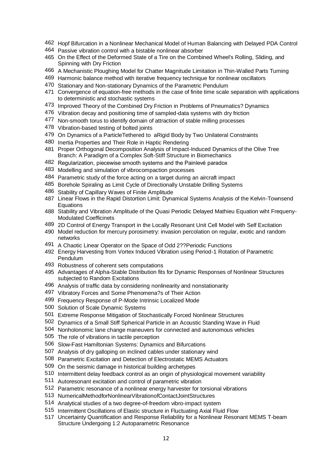- Hopf Bifurcation in a Nonlinear Mechanical Model of Human Balancing with Delayed PDA Control
- Passive vibration control with a bistable nonlinear absorber
- On the Effect of the Deformed State of a Tire on the Combined Wheel's Rolling, Sliding, and Spinning with Dry Friction
- A Mechanistic Ploughing Model for Chatter Magnitude Limitation in Thin-Walled Parts Turning
- Harmonic balance method with iterative frequency technique for nonlinear oscillators
- Stationary and Non-stationary Dynamics of the Parametric Pendulum
- Convergence of equation-free methods in the case of finite time scale separation with applications to deterministic and stochastic systems
- Improved Theory of the Combined Dry Friction in Problems of Pneumatics? Dynamics
- Vibration decay and positioning time of sampled-data systems with dry friction
- 477 Non-smooth torus to identify domain of attraction of stable milling processes
- Vibration-based testing of bolted joints
- On Dynamics of a ParticleTethered to aRigid Body by Two Unilateral Constraints
- Inertia Properties and Their Role in Haptic Rendering
- Proper Orthogonal Decomposition Analysis of Impact-Induced Dynamics of the Olive Tree Branch: A Paradigm of a Complex Soft-Stiff Structure in Biomechanics
- Regularization, piecewise smooth systems and the Painlevé paradox
- Modelling and simulation of vibrocompaction processes
- Parametric study of the force acting on a target during an aircraft impact
- Borehole Spiraling as Limit Cycle of Directionally Unstable Drilling Systems
- Stability of Capillary Waves of Finite Amplitude
- Linear Flows in the Rapid Distortion Limit: Dynamical Systems Analysis of the Kelvin-Townsend Equations
- Stability and Vibration Amplitude of the Quasi Periodic Delayed Mathieu Equation wiht Frequeny-Modulated Coefficinets
- 2D Control of Energy Transport in the Locally Resonant Unit Cell Model with Self Excitation
- Model reduction for mercury porosimetry: invasion percolation on regular, exotic and random networks
- A Chaotic Linear Operator on the Space of Odd 2??Periodic Functions
- Energy Harvesting from Vortex Induced Vibration using Period-1 Rotation of Parametric Pendulum
- Robustness of coherent sets computations
- Advantages of Alpha-Stable Distribution fits for Dynamic Responses of Nonlinear Structures subjected to Random Excitations
- Analysis of traffic data by considering nonlinearity and nonstationarity
- Vibratory Forces and Some Phenomena?s of Their Action
- Frequency Response of P-Mode Intrinsic Localized Mode
- Solution of Scale Dynamic Systems
- Extreme Response Mitigation of Stochastically Forced Nonlinear Structures
- Dynamics of a Small Stiff Spherical Particle in an Acoustic Standing Wave in Fluid
- Nonholonomic lane change maneuvers for connected and autonomous vehicles
- The role of vibrations in tactile perception
- Slow-Fast Hamiltonian Systems: Dynamics and Bifurcations
- Analysis of dry galloping on inclined cables under stationary wind
- Parametric Excitation and Detection of Electrostatic MEMS Actuators
- On the seismic damage in historical building archetypes
- Intermittent delay feedback control as an origin of physiological movement variability
- Autoresonant excitation and control of parametric vibration
- Parametric resonance of a nonlinear energy harvester for torsional vibrations
- NumericalMethodforNonlinearVibrationofContactJointStructures
- Analytical studies of a two degree-of-freedom vibro-impact system
- Intermittent Oscillations of Elastic structure in Fluctuating Axial Fluid Flow
- Uncertainty Quantification and Response Reliability for a Nonlinear Resonant MEMS T-beam Structure Undergoing 1:2 Autoparametric Resonance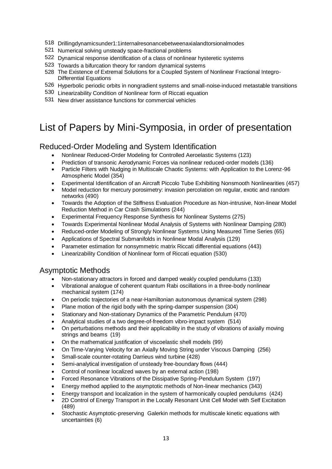- 518 Drillingdynamicsunder1:1internalresonancebetweenaxialandtorsionalmodes
- 521 Numerical solving unsteady space-fractional problems
- 522 Dynamical response identification of a class of nonlinear hysteretic systems
- 523 Towards a bifurcation theory for random dynamical systems
- 528 The Existence of Extremal Solutions for a Coupled System of Nonlinear Fractional Integro-Differential Equations
- 526 Hyperbolic periodic orbits in nongradient systems and small-noise-induced metastable transitions
- 530 Linearizability Condition of Nonlinear form of Riccati equation
- 531 New driver assistance functions for commercial vehicles

## List of Papers by Mini-Symposia, in order of presentation

### Reduced-Order Modeling and System Identification

- Nonlinear Reduced-Order Modeling for Controlled Aeroelastic Systems (123)
- Prediction of transonic Aerodynamic Forces via nonlinear reduced-order models (136)
- Particle Filters with Nudging in Multiscale Chaotic Systems: with Application to the Lorenz-96 Atmospheric Model (354)
- Experimental Identification of an Aircraft Piccolo Tube Exhibiting Nonsmooth Nonlinearities (457)
- Model reduction for mercury porosimetry: invasion percolation on regular, exotic and random networks (490)
- Towards the Adoption of the Stiffness Evaluation Procedure as Non-intrusive, Non-linear Model Reduction Method in Car Crash Simulations (244)
- Experimental Frequency Response Synthesis for Nonlinear Systems (275)
- Towards Experimental Nonlinear Modal Analysis of Systems with Nonlinear Damping (280)
- Reduced-order Modeling of Strongly Nonlinear Systems Using Measured Time Series (65)
- Applications of Spectral Submanifolds in Nonlinear Modal Analysis (129)
- Parameter estimation for nonsymmetric matrix Riccati differential equations (443)
- Linearizability Condition of Nonlinear form of Riccati equation (530)

## Asymptotic Methods

- Non-stationary attractors in forced and damped weakly coupled pendulums (133)
- Vibrational analogue of coherent quantum Rabi oscillations in a three-body nonlinear mechanical system (174)
- On periodic trajectories of a near-Hamiltonian autonomous dynamical system (298)
- Plane motion of the rigid body with the spring-damper suspension (304)
- Stationary and Non-stationary Dynamics of the Parametric Pendulum (470)
- Analytical studies of a two degree-of-freedom vibro-impact system (514)
- On perturbations methods and their applicability in the study of vibrations of axially moving strings and beams (19)
- On the mathematical justification of viscoelastic shell models (99)
- On Time-Varying Velocity for an Axially Moving String under Viscous Damping (256)
- Small-scale counter-rotating Darrieus wind turbine (428)
- Semi-analytical investigation of unsteady free-boundary flows (444)
- Control of nonlinear localized waves by an external action (198)
- Forced Resonance Vibrations of the Dissipative Spring-Pendulum System (197)
- Energy method applied to the asymptotic methods of Non-linear mechanics (343)
- Energy transport and localization in the system of harmonically coupled pendulums (424)
- 2D Control of Energy Transport in the Locally Resonant Unit Cell Model with Self Excitation (489)
- Stochastic Asymptotic-preserving Galerkin methods for multiscale kinetic equations with uncertainties (6)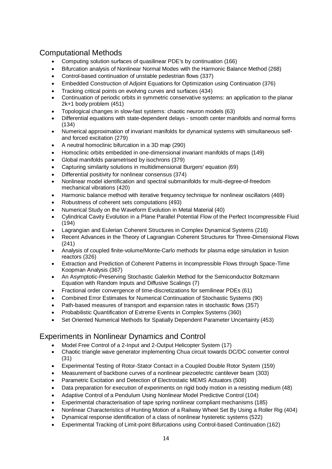## Computational Methods

- Computing solution surfaces of quasilinear PDE's by continuation (166)
- Bifurcation analysis of Nonlinear Normal Modes with the Harmonic Balance Method (268)
- Control-based continuation of unstable pedestrian flows (337)
- Embedded Construction of Adjoint Equations for Optimization using Continuation (376)
- Tracking critical points on evolving curves and surfaces (434)
- Continuation of periodic orbits in symmetric conservative systems: an application to the planar 2k+1 body problem (451)
- Topological changes in slow-fast systems: chaotic neuron models (63)
- Differential equations with state-dependent delays smooth center manifolds and normal forms (134)
- Numerical approximation of invariant manifolds for dynamical systems with simultaneous selfand forced excitation (279)
- A neutral homoclinic bifurcation in a 3D map (290)
- Homoclinic orbits embedded in one-dimensional invariant manifolds of maps (149)
- Global manifolds parametrised by isochrons (379)
- Capturing similarity solutions in multidimensional Burgers' equation (69)
- Differential positivity for nonlinear consensus (374)
- Nonlinear model identification and spectral submanifolds for multi-degree-of-freedom mechanical vibrations (420)
- Harmonic balance method with iterative frequency technique for nonlinear oscillators (469)
- Robustness of coherent sets computations (493)
- Numerical Study on the Waveform Evolution in Metal Material (40)
- Cylindrical Cavity Evolution in a Plane Parallel Potential Flow of the Perfect Incompressible Fluid (194)
- Lagrangian and Eulerian Coherent Structures in Complex Dynamical Systems (216)
- Recent Advances in the Theory of Lagrangian Coherent Structures for Three-Dimensional Flows (241)
- Analysis of coupled finite-volume/Monte-Carlo methods for plasma edge simulation in fusion reactors (326)
- Extraction and Prediction of Coherent Patterns in Incompressible Flows through Space-Time Koopman Analysis (367)
- An Asymptotic-Preserving Stochastic Galerkin Method for the Semiconductor Boltzmann Equation with Random Inputs and Diffusive Scalings (7)
- Fractional order convergence of time-discretizations for semilinear PDEs (61)
- Combined Error Estimates for Numerical Continuation of Stochastic Systems (90)
- Path-based measures of transport and expansion rates in stochastic flows (357)
- Probabilistic Quantification of Extreme Events in Complex Systems (360)
- Set Oriented Numerical Methods for Spatially Dependent Parameter Uncertainty (453)

## Experiments in Nonlinear Dynamics and Control

- Model Free Control of a 2-Input and 2-Output Helicopter System (17)
- Chaotic triangle wave generator implementing Chua circuit towards DC/DC converter control (31)
- Experimental Testing of Rotor-Stator Contact in a Coupled Double Rotor System (159)
- Measurement of backbone curves of a nonlinear piezoelectric cantilever beam (303)
- Parametric Excitation and Detection of Electrostatic MEMS Actuators (508)
- Data preparation for execution of experiments on rigid body motion in a resisting medium (48)
- Adaptive Control of a Pendulum Using Nonlinear Model Predictive Control (104)
- Experimental characterisation of tape spring nonlinear compliant mechanisms (185)
- Nonlinear Characteristics of Hunting Motion of a Railway Wheel Set By Using a Roller Rig (404)
- Dynamical response identification of a class of nonlinear hysteretic systems (522)
- Experimental Tracking of Limit-point Bifurcations using Control-based Continuation (162)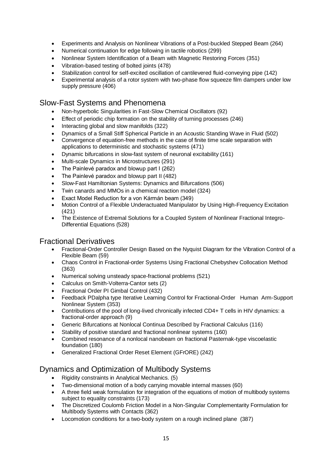- Experiments and Analysis on Nonlinear Vibrations of a Post-buckled Stepped Beam (264)
- Numerical continuation for edge following in tactile robotics (299)
- Nonlinear System Identification of a Beam with Magnetic Restoring Forces (351)
- Vibration-based testing of bolted joints (478)
	- Stabilization control for self-excited oscillation of cantilevered fluid-conveying pipe (142)
- Experimental analysis of a rotor system with two-phase flow squeeze film dampers under low supply pressure (406)

### Slow-Fast Systems and Phenomena

- Non-hyperbolic Singularities in Fast-Slow Chemical Oscillators (92)
- Effect of periodic chip formation on the stability of turning processes (246)
- Interacting global and slow manifolds (322)
- Dynamics of a Small Stiff Spherical Particle in an Acoustic Standing Wave in Fluid (502)
- Convergence of equation-free methods in the case of finite time scale separation with applications to deterministic and stochastic systems (471)
- Dynamic bifurcations in slow-fast system of neuronal excitability (161)
- Multi-scale Dynamics in Microstructures (291)
- The Painlevé paradox and blowup part I (262)
- The Painlevé paradox and blowup part II (482)
- Slow-Fast Hamiltonian Systems: Dynamics and Bifurcations (506)
- Twin canards and MMOs in a chemical reaction model (324)
- Exact Model Reduction for a von Kármán beam (349)
- Motion Control of a Flexible Underactuated Manipulator by Using High-Frequency Excitation (421)
- The Existence of Extremal Solutions for a Coupled System of Nonlinear Fractional Integro-Differential Equations (528)

#### Fractional Derivatives

- Fractional-Order Controller Design Based on the Nyquist Diagram for the Vibration Control of a Flexible Beam (59)
- Chaos Control in Fractional-order Systems Using Fractional Chebyshev Collocation Method (363)
- Numerical solving unsteady space-fractional problems (521)
- Calculus on Smith-Volterra-Cantor sets (2)
- Fractional Order PI Gimbal Control (432)
- Feedback PDalpha type Iterative Learning Control for Fractional-Order Human Arm-Support Nonlinear System (353)
- Contributions of the pool of long-lived chronically infected CD4+ T cells in HIV dynamics: a fractional-order approach (9)
- Generic Bifurcations at Nonlocal Continua Described by Fractional Calculus (116)
- Stability of positive standard and fractional nonlinear systems (160)
- Combined resonance of a nonlocal nanobeam on fractional Pasternak-type viscoelastic foundation (180)
- Generalized Fractional Order Reset Element (GFrORE) (242)

#### Dynamics and Optimization of Multibody Systems

- Rigidity constraints in Analytical Mechanics. (5)
- Two-dimensional motion of a body carrying movable internal masses (60)
- A three field weak formulation for integration of the equations of motion of multibody systems subject to equality constraints (173)
- The Discretized Coulomb Friction Model in a Non-Singular Complementarity Formulation for Multibody Systems with Contacts (362)
- Locomotion conditions for a two-body system on a rough inclined plane (387)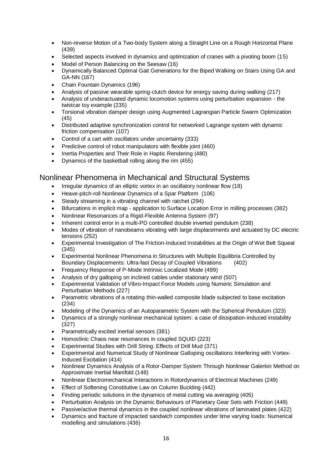- Non-reverse Motion of a Two-body System along a Straight Line on a Rough Horizontal Plane (439)
- Selected aspects involved in dynamics and optimization of cranes with a pivoting boom (15)
- Model of Person Balancing on the Seesaw (16)
- Dynamically Balanced Optimal Gait Generations for the Biped Walking on Stairs Using GA and GA-NN (167)
- Chain Fountain Dynamics (196)
- Analysis of passive wearable spring-clutch device for energy saving during walking (217)
- Analysis of underactuated dynamic locomotion systems using perturbation expansion the twistcar toy example (235)
- Torsional vibration damper design using Augmented Lagrangian Particle Swarm Optimization (45)
- Distributed adaptive synchronization control for networked Lagrange system with dynamic friction compensation (107)
- Control of a cart with oscillators under uncertainty (333)
- Predictive control of robot manipulators with flexible joint (460)
- Inertia Properties and Their Role in Haptic Rendering (480)
- Dynamics of the basketball rolling along the rim (455)

### Nonlinear Phenomena in Mechanical and Structural Systems

- Irregular dynamics of an elliptic vortex in an oscillatory nonlinear flow (18)
- Heave-pitch-roll Nonlinear Dynamics of a Spar Platform (106)
- Steady streaming in a vibrating channel with ratchet (294)
- Bifurcations in implicit map application to Surface Location Error in milling processes (382)
- Nonlinear Resonances of a Rigid-Flexible Antenna System (97)
- Inherent control error in a multi-PD controlled double inverted pendulum (238)
- Modes of vibration of nanobeams vibrating with large displacements and actuated by DC electric tensions (252)
- Experimental Investigation of The Friction-Induced Instabilities at the Origin of Wet Belt Squeal (345)
- Experimental Nonlinear Phenomena in Structures with Multiple Equilibria Controlled by Boundary Displacements: Ultra-fast Decay of Coupled Vibrations (402)
- Frequency Response of P-Mode Intrinsic Localized Mode (499)
- Analysis of dry galloping on inclined cables under stationary wind (507)
- Experimental Validation of Vibro-Impact Force Models using Numeric Simulation and Perturbation Methods (227)
- Parametric vibrations of a rotating thin-walled composite blade subjected to base excitation (234)
- Modeling of the Dynamics of an Autoparametric System with the Spherical Pendulum (323)
- Dynamics of a strongly nonlinear mechanical system: a case of dissipation-induced instability (327)
- Parametrically excited inertial sensors (381)
- Homoclinic Chaos near resonances in coupled SQUID (223)
- Experimental Studies with Drill String: Effects of Drill Mud (371)
- Experimental and Numerical Study of Nonlinear Galloping oscillations Interfering with Vortex-Induced Excitation (414)
- Nonlinear Dynamics Analysis of a Rotor-Damper System Through Nonlinear Galerkin Method on Approximate Inertial Manifold (148)
- Nonlinear Electromechanical Interactions in Rotordynamics of Electrical Machines (249)
- Effect of Softening Constitutive Law on Column Buckling (442)
- Finding periodic solutions in the dynamics of metal cutting via averaging (405)
- Perturbation Analysis on the Dynamic Behaviours of Planetary Gear Sets with Friction (449)
- Passive/active thermal dynamics in the coupled nonlinear vibrations of laminated plates (422)
- Dynamics and fracture of impacted sandwich composites under time varying loads: Numerical modelling and simulations (436)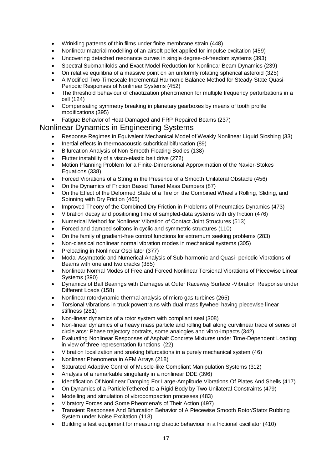- Wrinkling patterns of thin films under finite membrane strain (448)
- Nonlinear material modelling of an airsoft pellet applied for impulse excitation (459)
- Uncovering detached resonance curves in single degree-of-freedom systems (393)
- Spectral Submanifolds and Exact Model Reduction for Nonlinear Beam Dynamics (239)
- On relative equilibria of a massive point on an uniformly rotating spherical asteroid (325)
- A Modified Two-Timescale Incremental Harmonic Balance Method for Steady-State Quasi-Periodic Responses of Nonlinear Systems (452)
- The threshold behaviour of chaotization phenomenon for multiple frequency perturbations in a cell (124)
- Compensating symmetry breaking in planetary gearboxes by means of tooth profile modifications (395)
- Fatigue Behavior of Heat-Damaged and FRP Repaired Beams (237)

#### Nonlinear Dynamics in Engineering Systems

- Response Regimes in Equivalent Mechanical Model of Weakly Nonlinear Liquid Sloshing (33)
- Inertial effects in thermoacoustic subcritical bifurcation (89)
- Bifurcation Analysis of Non-Smooth Floating Bodies (138)
- Flutter instability of a visco-elastic belt drive (272)
- Motion Planning Problem for a Finite-Dimensional Approximation of the Navier-Stokes Equations (338)
- Forced Vibrations of a String in the Presence of a Smooth Unilateral Obstacle (456)
- On the Dynamics of Friction Based Tuned Mass Dampers (87)
- On the Effect of the Deformed State of a Tire on the Combined Wheel's Rolling, Sliding, and Spinning with Dry Friction (465)
- Improved Theory of the Combined Dry Friction in Problems of Pneumatics Dynamics (473)
- Vibration decay and positioning time of sampled-data systems with dry friction (476)
- Numerical Method for Nonlinear Vibration of Contact Joint Structures (513)
- Forced and damped solitons in cyclic and symmetric structures (110)
- On the family of gradient-free control functions for extremum seeking problems (283)
- Non-classical nonlinear normal vibration modes in mechanical systems (305)
- Preloading in Nonlinear Oscillator (377)
- Modal Asymptotic and Numerical Analysis of Sub-harmonic and Quasi- periodic Vibrations of Beams with one and two cracks (385)
- Nonlinear Normal Modes of Free and Forced Nonlinear Torsional Vibrations of Piecewise Linear Systems (390)
- Dynamics of Ball Bearings with Damages at Outer Raceway Surface -Vibration Response under Different Loads (158)
- Nonlinear rotordynamic-thermal analysis of micro gas turbines (265)
- Torsional vibrations in truck powertrains with dual mass flywheel having piecewise linear stiffness (281)
- Non-linear dynamics of a rotor system with compliant seal (308)
- Non-linear dynamics of a heavy mass particle and rolling ball along curvilinear trace of series of circle arcs: Phase trajectory portraits, some analogies and vibro-impacts (342)
- Evaluating Nonlinear Responses of Asphalt Concrete Mixtures under Time-Dependent Loading: in view of three representation functions (22)
- Vibration localization and snaking bifurcations in a purely mechanical system (46)
- Nonlinear Phenomena in AFM Arrays (218)
- Saturated Adaptive Control of Muscle-like Compliant Manipulation Systems (312)
- Analysis of a remarkable singularity in a nonlinear DDE (396)
- Identification Of Nonlinear Damping For Large-Amplitude Vibrations Of Plates And Shells (417)
- On Dynamics of a ParticleTethered to a Rigid Body by Two Unilateral Constraints (479)
- Modelling and simulation of vibrocompaction processes (483)
- Vibratory Forces and Some Pheomena's of Their Action (497)
- Transient Responses And Bifurcation Behavior of A Piecewise Smooth Rotor/Stator Rubbing System under Noise Excitation (113)
- Building a test equipment for measuring chaotic behaviour in a frictional oscillator (410)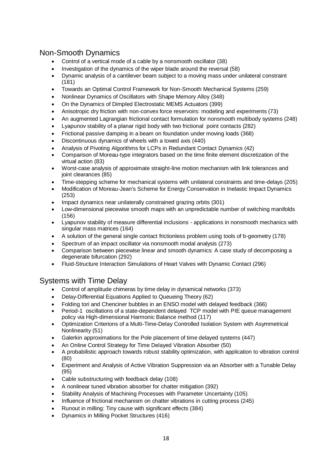## Non-Smooth Dynamics

- Control of a vertical mode of a cable by a nonsmooth oscillator (38)
- Investigation of the dynamics of the wiper blade around the reversal (58)
- Dynamic analysis of a cantilever beam subject to a moving mass under unilateral constraint (181)
- Towards an Optimal Control Framework for Non-Smooth Mechanical Systems (259)
- Nonlinear Dynamics of Oscillators with Shape Memory Alloy (348)
- On the Dynamics of Dimpled Electrostatic MEMS Actuators (399)
- Anisotropic dry friction with non-convex force reservoirs: modeling and experiments (73)
- An augmented Lagrangian frictional contact formulation for nonsmooth multibody systems (248)
- Lyapunov stability of a planar rigid body with two frictional point contacts (282)
- Frictional passive damping in a beam on foundation under moving loads (368)
- Discontinuous dynamics of wheels with a towed axis (440)
- Analysis of Pivoting Algorithms for LCPs in Redundant Contact Dynamics (42)
- Comparison of Moreau-type integrators based on the time finite element discretization of the virtual action (83)
- Worst-case analysis of approximate straight-line motion mechanism with link tolerances and joint clearances (85)
- Time-stepping scheme for mechanical systems with unilateral constraints and time-delays (205)
- Modification of Moreau-Jean's Scheme for Energy Conservation in Inelastic Impact Dynamics (253)
- Impact dynamics near unilaterally constrained grazing orbits (301)
- Low-dimensional piecewise smooth maps with an unpredictable number of switching manifolds (156)
- Lyapunov stability of measure differential inclusions applications in nonsmooth mechanics with singular mass matrices (164)
- A solution of the general single contact frictionless problem using tools of b-geometry (178)
- Spectrum of an impact oscillator via nonsmooth modal analysis (273)
- Comparison between piecewise linear and smooth dynamics: A case study of decomposing a degenerate bifurcation (292)
- Fluid-Structure Interaction Simulations of Heart Valves with Dynamic Contact (296)

## Systems with Time Delay

- Control of amplitude chimeras by time delay in dynamical networks (373)
- Delay-Differential Equations Applied to Queueing Theory (62)
- Folding tori and Chenciner bubbles in an ENSO model with delayed feedback (366)
- Period-1 oscillations of a state-dependent delayed TCP model with PIE queue management policy via High-dimensional Harmonic Balance method (117)
- Optimization Criterions of a Multi-Time-Delay Controlled Isolation System with Asymmetrical Nonlinearity (51)
- Galerkin approximations for the Pole placement of time delayed systems (447)
- An Online Control Strategy for Time Delayed Vibration Absorber (50)
- A probabilistic approach towards robust stability optimization, with application to vibration control (80)
- Experiment and Analysis of Active Vibration Suppression via an Absorber with a Tunable Delay (95)
- Cable substructuring with feedback delay (108)
- A nonlinear tuned vibration absorber for chatter mitigation (392)
- Stability Analysis of Machining Processes with Parameter Uncertainty (105)
- Influence of frictional mechanism on chatter vibrations in cutting process (245)
- Runout in milling: Tiny cause with significant effects (384)
- Dynamics in Milling Pocket Structures (416)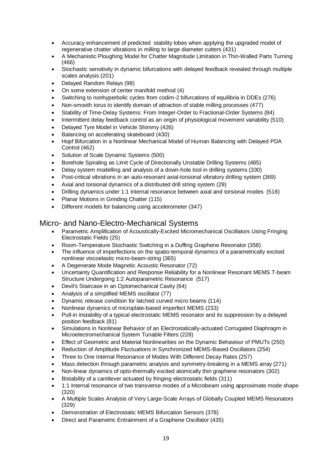- Accuracy enhancement of predicted stability lobes when applying the upgraded model of regenerative chatter vibrations in milling to large diameter cutters (431)
- A Mechanistic Ploughing Model for Chatter Magnitude Limitation in Thin-Walled Parts Turning (466)
- Stochastic sensitivity in dynamic bifurcations with delayed feedback revealed through multiple scales analysis (201)
- Delayed Random Relays (98)
- On some extension of center manifold method (4)
- Switching to nonhyperbolic cycles from codim-2 bifurcations of equilibria in DDEs (276)
- Non-smooth torus to identify domain of attraction of stable milling processes (477)
- Stability of Time-Delay Systems: From Integer-Order to Fractional-Order Systems (84)
- Intermittent delay feedback control as an origin of physiological movement variability (510)
- Delayed Tyre Model in Vehicle Shimmy (426)
- Balancing on accelerating skateboard (430)
- Hopf Bifurcation in a Nonlinear Mechanical Model of Human Balancing with Delayed PDA Control (462)
- Solution of Scale Dynamic Systems (500)
- Borehole Spiraling as Limit Cycle of Directionally Unstable Drilling Systems (485)
- Delay system modelling and analysis of a down-hole tool in drilling systems (330)
- Post-critical vibrations in an auto-resonant axial-torsional vibratory drilling system (369)
- Axial and torsional dynamics of a distributed drill string system (29)
- Drilling dynamics under 1:1 internal resonance between axial and torsional modes (518)
- Planar Motions in Grinding Chatter (115)
- Different models for balancing using accelerometer (347)

#### Micro- and Nano-Electro-Mechanical Systems

- Parametric Amplification of Acoustically-Excited Micromechanical Oscillators Using Fringing Electrostatic Fields (25)
- Room-Temperature Stochastic Switching in a Duffing Graphene Resonator (358)
- The influence of imperfections on the spatio-temporal dynamics of a parametrically excited nonlinear viscoelastic micro-beam-string (365)
- A Degenerate Mode Magnetic Acoustic Resonator (72)
- Uncertainty Quantification and Response Reliability for a Nonlinear Resonant MEMS T-beam Structure Undergoing 1:2 Autoparametric Resonance (517)
- Devil's Staircase in an Optomechanical Cavity (64)
- Analysis of a simplified MEMS oscillator (77)
- Dynamic release condition for latched curved micro beams (114)
- Nonlinear dynamics of microplate-based imperfect MEMS (233)
- Pull-in instability of a typical electrostatic MEMS resonator and its suppression by a delayed position feedback (81)
- Simulations in Nonlinear Behavior of an Electrostatically-actuated Corrugated Diaphragm in Microelectromechanical System Tunable Filters (228)
- Effect of Geometric and Material Nonlinearities on the Dynamic Behaviour of PMUTs (250)
- Reduction of Amplitude Fluctuations in Synchronized MEMS-Based Oscillators (254)
- Three to One Internal Resonance of Modes With Different Decay Rates (257)
- Mass detection through parametric analysis and symmetry-breaking in a MEMS array (271)
- Non-linear dynamics of opto-thermally excited atomically thin graphene resonators (302)
- Bistability of a cantilever actuated by fringing electrostatic fields (311)
- 1:1 Internal resonance of two transverse modes of a Microbeam using approximate mode shape (320)
- A Multiple Scales Analysis of Very Large-Scale Arrays of Globally Coupled MEMS Resonators (329)
- Demonstration of Electrostatic MEMS Bifurcation Sensors (378)
- Direct and Parametric Entrainment of a Graphene Oscillator (435)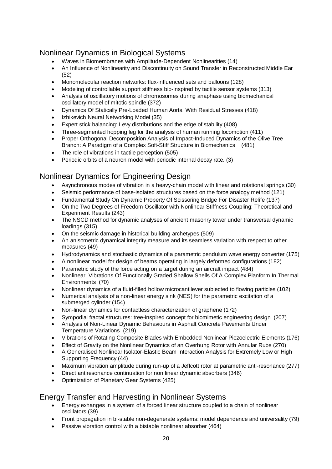## Nonlinear Dynamics in Biological Systems

- Waves in Biomembranes with Amplitude-Dependent Nonlinearities (14)
- An Influence of Nonlinearity and Discontinuity on Sound Transfer in Reconstructed Middle Ear (52)
- Monomolecular reaction networks: flux-influenced sets and balloons (128)
- Modeling of controllable support stiffness bio-inspired by tactile sensor systems (313)
- Analysis of oscillatory motions of chromosomes during anaphase using biomechanical oscillatory model of mitotic spindle (372)
- Dynamics Of Statically Pre-Loaded Human Aorta With Residual Stresses (418)
- Izhikevich Neural Networking Model (35)
- Expert stick balancing: Levy distributions and the edge of stability (408)
- Three-segmented hopping leg for the analysis of human running locomotion (411)
- Proper Orthogonal Decomposition Analysis of Impact-Induced Dynamics of the Olive Tree Branch: A Paradigm of a Complex Soft-Stiff Structure in Biomechanics (481)
- The role of vibrations in tactile perception (505)
- Periodic orbits of a neuron model with periodic internal decay rate. (3)

### Nonlinear Dynamics for Engineering Design

- Asynchronous modes of vibration in a heavy-chain model with linear and rotational springs (30)
- Seismic performance of base-isolated structures based on the force analogy method (121)
- Fundamental Study On Dynamic Property Of Scissoring Bridge For Disaster Relife (137)
- On the Two Degrees of Freedom Oscillator with Nonlinear Stiffness Coupling: Theoretical and Experiment Results (243)
- The NSCD method for dynamic analyses of ancient masonry tower under transversal dynamic loadings (315)
- On the seismic damage in historical building archetypes (509)
- An anisometric dynamical integrity measure and its seamless variation with respect to other measures (49)
- Hydrodynamics and stochastic dynamics of a parametric pendulum wave energy converter (175)
- A nonlinear model for design of beams operating in largely deformed configurations (182)
- Parametric study of the force acting on a target during an aircraft impact (484)
- Nonlinear Vibrations Of Functionally Graded Shallow Shells Of A Complex Planform In Thermal Environments (70)
- Nonlinear dynamics of a fluid-filled hollow microcantilever subjected to flowing particles (102)
- Numerical analysis of a non-linear energy sink (NES) for the parametric excitation of a submerged cylinder (154)
- Non-linear dynamics for contactless characterization of graphene (172)
- Sympodial fractal structures: tree-inspired concept for biomimetic engineering design (207)
- Analysis of Non-Linear Dynamic Behaviours in Asphalt Concrete Pavements Under Temperature Variations (219)
- Vibrations of Rotating Composite Blades with Embedded Nonlinear Piezoelectric Elements (176)
- Effect of Gravity on the Nonlinear Dynamics of an Overhung Rotor with Annular Rubs (270)
- A Generalised Nonlinear Isolator-Elastic Beam Interaction Analysis for Extremely Low or High Supporting Frequency (44)
- Maximum vibration amplitude during run-up of a Jeffcott rotor at parametric anti-resonance (277)
- Direct antiresonance continuation for non linear dynamic absorbers (346)
- Optimization of Planetary Gear Systems (425)

## Energy Transfer and Harvesting in Nonlinear Systems

- Energy exhanges in a system of a forced linear structure coupled to a chain of nonlinear oscillators (39)
- Front propagation in bi-stable non-degenerate systems: model dependence and universality (79)
- Passive vibration control with a bistable nonlinear absorber (464)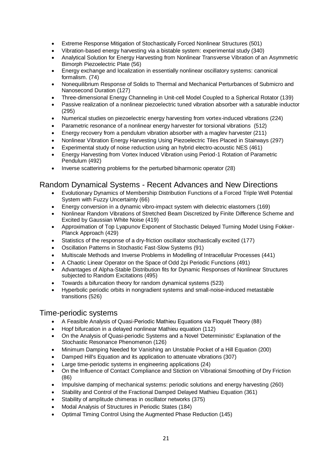- Extreme Response Mitigation of Stochastically Forced Nonlinear Structures (501)
- Vibration-based energy harvesting via a bistable system: experimental study (340)
- Analytical Solution for Energy Harvesting from Nonlinear Transverse Vibration of an Asymmetric Bimorph Piezoelectric Plate (56)
- Energy exchange and localization in essentially nonlinear oscillatory systems: canonical formalism. (74)
- Nonequilibrium Response of Solids to Thermal and Mechanical Perturbances of Submicro and Nanosecond Duration (127)
- Three-dimensional Energy Channeling in Unit-cell Model Coupled to a Spherical Rotator (139)
- Passive realization of a nonlinear piezoelectric tuned vibration absorber with a saturable inductor (295)
- Numerical studies on piezoelectric energy harvesting from vortex-induced vibrations (224)
- Parametric resonance of a nonlinear energy harvester for torsional vibrations (512)
- Energy recovery from a pendulum vibration absorber with a maglev harvester (211)
- Nonlinear Vibration Energy Harvesting Using Piezoelectric Tiles Placed in Stairways (297)
- Experimental study of noise reduction using an hybrid electro-acoustic NES (461)
- Energy Harvesting from Vortex Induced Vibration using Period-1 Rotation of Parametric Pendulum (492)
- Inverse scattering problems for the perturbed biharmonic operator (28)

#### Random Dynamical Systems - Recent Advances and New Directions

- Evolutionary Dynamics of Membership Distribution Functions of a Forced Triple Well Potential System with Fuzzy Uncertainty (66)
- Energy conversion in a dynamic vibro-impact system with dielectric elastomers (169)
- Nonlinear Random Vibrations of Stretched Beam Discretized by Finite Difference Scheme and Excited by Gaussian White Noise (419)
- Approximation of Top Lyapunov Exponent of Stochastic Delayed Turning Model Using Fokker-Planck Approach (429)
- Statistics of the response of a dry-friction oscillator stochastically excited (177)
- Oscillation Patterns in Stochastic Fast-Slow Systems (91)
- Multiscale Methods and Inverse Problems in Modelling of Intracellular Processes (441)
- A Chaotic Linear Operator on the Space of Odd 2pi Periodic Functions (491)
- Advantages of Alpha-Stable Distribution fits for Dynamic Responses of Nonlinear Structures subjected to Random Excitations (495)
- Towards a bifurcation theory for random dynamical systems (523)
- Hyperbolic periodic orbits in nongradient systems and small-noise-induced metastable transitions (526)

#### Time-periodic systems

- A Feasible Analysis of Quasi-Periodic Mathieu Equations via Floquét Theory (88)
- Hopf bifurcation in a delayed nonlinear Mathieu equation (112)
- On the Analysis of Quasi-periodic Systems and a Novel 'Deterministic' Explanation of the Stochastic Resonance Phenomenon (126)
- Minimum Damping Needed for Vanishing an Unstable Pocket of a Hill Equation (200)
- Damped Hill's Equation and its application to attenuate vibrations (307)
- Large time-periodic systems in engineering applications (24)
- On the Influence of Contact Compliance and Stiction on Vibrational Smoothing of Dry Friction (86)
- Impulsive damping of mechanical systems: periodic solutions and energy harvesting (260)
- Stability and Control of the Fractional Damped Delayed Mathieu Equation (361)
- Stability of amplitude chimeras in oscillator networks (375)
- Modal Analysis of Structures in Periodic States (184)
- Optimal Timing Control Using the Augmented Phase Reduction (145)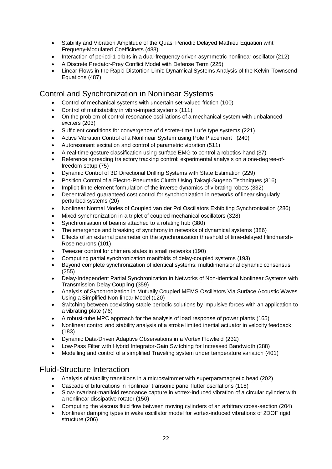- Stability and Vibration Amplitude of the Quasi Periodic Delayed Mathieu Equation wiht Frequeny-Modulated Coefficinets (488)
- Interaction of period-1 orbits in a dual-frequency driven asymmetric nonlinear oscillator (212)
- A Discrete Predator-Prey Conflict Model with Defense Term (225)
- Linear Flows in the Rapid Distortion Limit: Dynamical Systems Analysis of the Kelvin-Townsend Equations (487)

### Control and Synchronization in Nonlinear Systems

- Control of mechanical systems with uncertain set-valued friction (100)
- Control of multistability in vibro-impact systems (111)
- On the problem of control resonance oscillations of a mechanical system with unbalanced exciters (203)
- Sufficient conditions for convergence of discrete-time Lur'e type systems (221)
- Active Vibration Control of a Nonlinear System using Pole Placement (240)
- Autoresonant excitation and control of parametric vibration (511)
- A real-time gesture classification using surface EMG to control a robotics hand (37)
- Reference spreading trajectory tracking control: experimental analysis on a one-degree-offreedom setup (75)
- Dynamic Control of 3D Directional Drilling Systems with State Estimation (229)
- Position Control of a Electro-Pneumatic Clutch Using Takagi-Sugeno Techniques (316)
- Implicit finite element formulation of the inverse dynamics of vibrating robots (332)
- Decentralized guaranteed cost control for synchronization in networks of linear singularly perturbed systems (20)
- Nonlinear Normal Modes of Coupled van der Pol Oscillators Exhibiting Synchronisation (286)
- Mixed synchronization in a triplet of coupled mechanical oscillators (328)
- Synchronisation of beams attached to a rotating hub (380)
- The emergence and breaking of synchrony in networks of dynamical systems (386)
- Effects of an external parameter on the synchronization threshold of time-delayed Hindmarsh-Rose neurons (101)
- Tweezer control for chimera states in small networks (190)
- Computing partial synchronization manifolds of delay-coupled systems (193)
- Beyond complete synchronization of identical systems: multidimensional dynamic consensus (255)
- Delay-Independent Partial Synchronization in Networks of Non-identical Nonlinear Systems with Transmission Delay Coupling (359)
- Analysis of Synchronization in Mutually Coupled MEMS Oscillators Via Surface Acoustic Waves Using a Simplified Non-linear Model (120)
- Switching between coexisting stable periodic solutions by impulsive forces with an application to a vibrating plate (76)
- A robust-tube MPC approach for the analysis of load response of power plants (165)
- Nonlinear control and stability analysis of a stroke limited inertial actuator in velocity feedback (183)
- Dynamic Data-Driven Adaptive Observations in a Vortex Flowfield (232)
- Low-Pass Filter with Hybrid Integrator-Gain Switching for Increased Bandwidth (288)
- Modelling and control of a simplified Traveling system under temperature variation (401)

## Fluid-Structure Interaction

- Analysis of stability transitions in a microswimmer with superparamagnetic head (202)
- Cascade of bifurcations in nonlinear transonic panel flutter oscillations (118)
- Slow-invariant-manifold resonance capture in vortex-induced vibration of a circular cylinder with a nonlinear dissipative rotator (150)
- Computing the viscous fluid flow between moving cylinders of an arbitrary cross-section (204)
- Nonlinear damping types in wake oscillator model for vortex-induced vibrations of 2DOF rigid structure (206)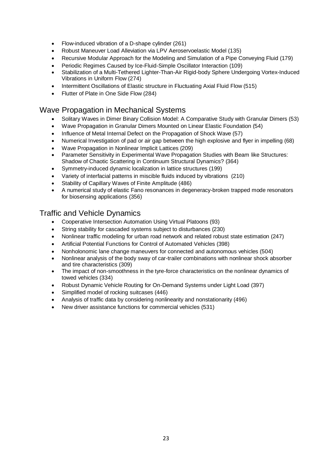- Flow-induced vibration of a D-shape cylinder (261)
- Robust Maneuver Load Alleviation via LPV Aeroservoelastic Model (135)
- Recursive Modular Approach for the Modeling and Simulation of a Pipe Conveying Fluid (179)
- Periodic Regimes Caused by Ice-Fluid-Simple Oscillator Interaction (109)
- Stabilization of a Multi-Tethered Lighter-Than-Air Rigid-body Sphere Undergoing Vortex-Induced Vibrations in Uniform Flow (274)
- Intermittent Oscillations of Elastic structure in Fluctuating Axial Fluid Flow (515)
- Flutter of Plate in One Side Flow (284)

## Wave Propagation in Mechanical Systems

- Solitary Waves in Dimer Binary Collision Model: A Comparative Study with Granular Dimers (53)
- Wave Propagation in Granular Dimers Mounted on Linear Elastic Foundation (54)
- Influence of Metal Internal Defect on the Propagation of Shock Wave (57)
- Numerical Investigation of pad or air gap between the high explosive and flyer in impelling (68)
- Wave Propagation in Nonlinear Implicit Lattices (209)
- Parameter Sensitivity in Experimental Wave Propagation Studies with Beam like Structures: Shadow of Chaotic Scattering in Continuum Structural Dynamics? (364)
- Symmetry-induced dynamic localization in lattice structures (199)
- Variety of interfacial patterns in miscible fluids induced by vibrations (210)
- Stability of Capillary Waves of Finite Amplitude (486)
- A numerical study of elastic Fano resonances in degeneracy-broken trapped mode resonators for biosensing applications (356)

#### Traffic and Vehicle Dynamics

- Cooperative Intersection Automation Using Virtual Platoons (93)
- String stability for cascaded systems subject to disturbances (230)
- Nonlinear traffic modeling for urban road network and related robust state estimation (247)
- Artificial Potential Functions for Control of Automated Vehicles (398)
- Nonholonomic lane change maneuvers for connected and autonomous vehicles (504)
- Nonlinear analysis of the body sway of car-trailer combinations with nonlinear shock absorber and tire characteristics (309)
- The impact of non-smoothness in the tyre-force characteristics on the nonlinear dynamics of towed vehicles (334)
- Robust Dynamic Vehicle Routing for On-Demand Systems under Light Load (397)
- Simplified model of rocking suitcases (446)
- Analysis of traffic data by considering nonlinearity and nonstationarity (496)
- New driver assistance functions for commercial vehicles (531)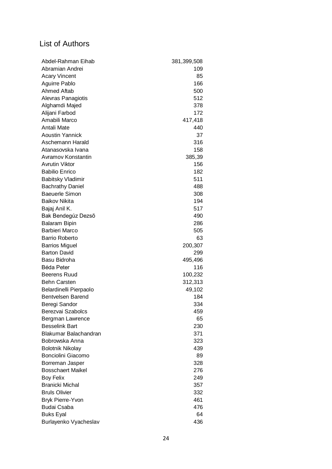## List of Authors

| Abdel-Rahman Eihab       | 381,399,508 |
|--------------------------|-------------|
| Abramian Andrei          | 109         |
| <b>Acary Vincent</b>     | 85          |
| Aguirre Pablo            | 166         |
| Ahmed Aftab              | 500         |
| Alevras Panagiotis       | 512         |
| Alghamdi Majed           | 378         |
| Alijani Farbod           | 172         |
| Amabili Marco            | 417,418     |
| Antali Mate              | 440         |
| <b>Aoustin Yannick</b>   | 37          |
| Aschemann Harald         | 316         |
| Atanasovska Ivana        | 158         |
| Avramov Konstantin       | 385,39      |
| <b>Avrutin Viktor</b>    | 156         |
| <b>Babilio Enrico</b>    | 182         |
| <b>Babitsky Vladimir</b> | 511         |
| <b>Bachrathy Daniel</b>  | 488         |
| <b>Baeuerle Simon</b>    | 308         |
| <b>Baikov Nikita</b>     | 194         |
| Bajaj Anil K.            | 517         |
| Bak Bendegúz Dezső       | 490         |
| <b>Balaram Bipin</b>     | 286         |
| <b>Barbieri Marco</b>    | 505         |
| <b>Barrio Roberto</b>    | 63          |
| <b>Barrios Miguel</b>    | 200,307     |
| <b>Barton David</b>      | 299         |
| Basu Bidroha             | 495,496     |
| <b>Béda Peter</b>        | 116         |
| <b>Beerens Ruud</b>      | 100,232     |
| <b>Behn Carsten</b>      | 312,313     |
| Belardinelli Pierpaolo   | 49,102      |
| Bentvelsen Barend        | 184         |
| Beregi Sandor            | 334         |
| Berezvai Szabolcs        | 459         |
| Bergman Lawrence         | 65          |
| <b>Besselink Bart</b>    | 230         |
| Blakumar Balachandran    | 371         |
| Bobrowska Anna           | 323         |
| <b>Bolotnik Nikolay</b>  | 439         |
| Bonciolini Giacomo       | 89          |
| Borreman Jasper          | 328         |
| <b>Bosschaert Maikel</b> | 276         |
| <b>Boy Felix</b>         | 249         |
| <b>Branicki Michal</b>   | 357         |
| <b>Bruls Olivier</b>     | 332         |
| <b>Bryk Pierre-Yvon</b>  | 461         |
| <b>Budai Csaba</b>       | 476         |
| <b>Buks Eyal</b>         | 64          |
| Burlayenko Vyacheslav    | 436         |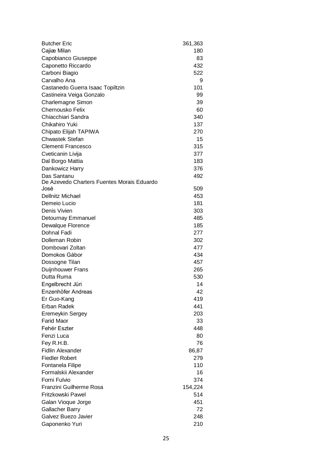| Cajiæ Milan<br>Capobianco Giuseppe<br>Caponetto Riccardo<br>Carboni Biagio<br>Carvalho Ana<br>Castanedo Guerra Isaac Topiltzin<br>Castineira Veiga Gonzalo<br>Charlemagne Simon<br>Chernousko Felix<br>Chiacchiari Sandra<br>Chikahiro Yuki<br>Chipato Elijah TAPIWA | 180<br>83<br>432<br>522<br>9<br>101<br>99<br>39<br>60<br>340<br>137<br>270<br>15<br>315<br>377 |
|----------------------------------------------------------------------------------------------------------------------------------------------------------------------------------------------------------------------------------------------------------------------|------------------------------------------------------------------------------------------------|
|                                                                                                                                                                                                                                                                      |                                                                                                |
|                                                                                                                                                                                                                                                                      |                                                                                                |
|                                                                                                                                                                                                                                                                      |                                                                                                |
|                                                                                                                                                                                                                                                                      |                                                                                                |
|                                                                                                                                                                                                                                                                      |                                                                                                |
|                                                                                                                                                                                                                                                                      |                                                                                                |
|                                                                                                                                                                                                                                                                      |                                                                                                |
|                                                                                                                                                                                                                                                                      |                                                                                                |
|                                                                                                                                                                                                                                                                      |                                                                                                |
|                                                                                                                                                                                                                                                                      |                                                                                                |
|                                                                                                                                                                                                                                                                      |                                                                                                |
|                                                                                                                                                                                                                                                                      |                                                                                                |
| <b>Chwastek Stefan</b>                                                                                                                                                                                                                                               |                                                                                                |
| Clementi Francesco                                                                                                                                                                                                                                                   |                                                                                                |
| Cveticanin Livija                                                                                                                                                                                                                                                    |                                                                                                |
| Dal Borgo Mattia                                                                                                                                                                                                                                                     | 183                                                                                            |
| Dankowicz Harry                                                                                                                                                                                                                                                      | 376                                                                                            |
| Das Santanu                                                                                                                                                                                                                                                          | 492                                                                                            |
| De Azevedo Charters Fuentes Morais Eduardo                                                                                                                                                                                                                           |                                                                                                |
| José                                                                                                                                                                                                                                                                 | 509                                                                                            |
| <b>Dellnitz Michael</b>                                                                                                                                                                                                                                              | 453                                                                                            |
| Demeio Lucio                                                                                                                                                                                                                                                         | 181                                                                                            |
| Denis Vivien                                                                                                                                                                                                                                                         | 303                                                                                            |
| Detournay Emmanuel                                                                                                                                                                                                                                                   | 485                                                                                            |
| Dewalque Florence                                                                                                                                                                                                                                                    | 185                                                                                            |
| Dohnal Fadi                                                                                                                                                                                                                                                          | 277                                                                                            |
| Dolleman Robin                                                                                                                                                                                                                                                       | 302                                                                                            |
| Dombovari Zoltan                                                                                                                                                                                                                                                     | 477                                                                                            |
| Domokos Gábor                                                                                                                                                                                                                                                        | 434                                                                                            |
| Dossogne Tilan                                                                                                                                                                                                                                                       | 457                                                                                            |
| Duijnhouwer Frans                                                                                                                                                                                                                                                    | 265                                                                                            |
| Dutta Ruma                                                                                                                                                                                                                                                           | 530                                                                                            |
| Engelbrecht Jüri                                                                                                                                                                                                                                                     | 14                                                                                             |
| Enzenhöfer Andreas                                                                                                                                                                                                                                                   | 42                                                                                             |
| Er Guo-Kang                                                                                                                                                                                                                                                          | 419                                                                                            |
| Erban Radek                                                                                                                                                                                                                                                          | 441                                                                                            |
| Eremeykin Sergey                                                                                                                                                                                                                                                     | 203                                                                                            |
| <b>Farid Maor</b>                                                                                                                                                                                                                                                    | 33                                                                                             |
| Fehér Eszter                                                                                                                                                                                                                                                         | 448                                                                                            |
| Fenzi Luca                                                                                                                                                                                                                                                           | 80                                                                                             |
| Fey R.H.B.                                                                                                                                                                                                                                                           | 76                                                                                             |
| <b>Fidlin Alexander</b>                                                                                                                                                                                                                                              | 86,87                                                                                          |
| <b>Fiedler Robert</b>                                                                                                                                                                                                                                                | 279                                                                                            |
| Fontanela Filipe                                                                                                                                                                                                                                                     | 110                                                                                            |
| Formalskii Alexander                                                                                                                                                                                                                                                 | 16                                                                                             |
| Forni Fulvio                                                                                                                                                                                                                                                         | 374                                                                                            |
| Franzini Guilherme Rosa                                                                                                                                                                                                                                              | 154,224                                                                                        |
| Fritzkowski Pawel                                                                                                                                                                                                                                                    | 514                                                                                            |
| Galan Vioque Jorge                                                                                                                                                                                                                                                   | 451                                                                                            |
| <b>Gallacher Barry</b>                                                                                                                                                                                                                                               | 72                                                                                             |
| Galvez Buezo Javier                                                                                                                                                                                                                                                  | 248                                                                                            |
| Gaponenko Yuri                                                                                                                                                                                                                                                       | 210                                                                                            |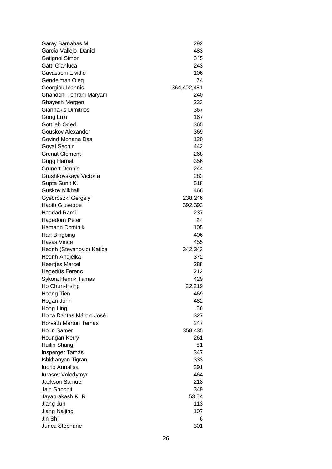| Garay Barnabas M.             | 292          |
|-------------------------------|--------------|
| García-Vallejo Daniel         | 483          |
| Gatignol Simon                | 345          |
| Gatti Gianluca                | 243          |
| Gavassoni Elvidio             | 106          |
| Gendelman Oleg                | 74           |
| Georgiou Ioannis              | 364,402,481  |
| Ghandchi Tehrani Maryam       | 240          |
| Ghayesh Mergen                | 233          |
| <b>Giannakis Dimitrios</b>    | 367          |
| Gong Lulu                     | 167          |
| <b>Gottlieb Oded</b>          | 365          |
| Gouskov Alexander             | 369          |
| Govind Mohana Das             | 120          |
| Goyal Sachin                  | 442          |
| Grenat Clément                | 268          |
| <b>Grigg Harriet</b>          | 356          |
| <b>Grunert Dennis</b>         | 244          |
| Grushkovskaya Victoria        | 283          |
| Gupta Sunit K.                | 518          |
| <b>Guskov Mikhail</b>         | 466          |
| Gyebrószki Gergely            | 238,246      |
| <b>Habib Giuseppe</b>         | 392,393      |
| Haddad Rami                   | 237          |
| <b>Hagedorn Peter</b>         | 24           |
| Hamann Dominik                | 105          |
| Han Bingbing                  | 406          |
| Havas Vince                   | 455          |
| Hedrih (Stevanovic) Katica    | 342,343      |
| Hedrih Andjelka               | 372          |
| <b>Heertjes Marcel</b>        | 288          |
| Hegedűs Ferenc                | 212          |
| Sykora Henrik Tamas           | 429          |
| Ho Chun-Hsing                 | 22,219       |
| Hoang Tien                    | 469          |
| Hogan John                    | 482          |
| Hong Ling                     | 66           |
| Horta Dantas Márcio José      | 327          |
| Horváth Márton Tamás          | 247          |
| Houri Samer                   | 358,435      |
| Hourigan Kerry                | 261          |
| Huilin Shang                  | 81           |
| Insperger Tamás               | 347          |
| Ishkhanyan Tigran             | 333          |
| Iuorio Annalisa               | 291          |
| lurasov Volodymyr             | 464          |
| Jackson Samuel                | 218          |
| Jain Shobhit                  | 349          |
|                               |              |
| Jayaprakash K. R<br>Jiang Jun | 53,54<br>113 |
|                               |              |
| Jiang Naijing<br>Jin Shi      | 107          |
|                               | 6            |
| Junca Stéphane                | 301          |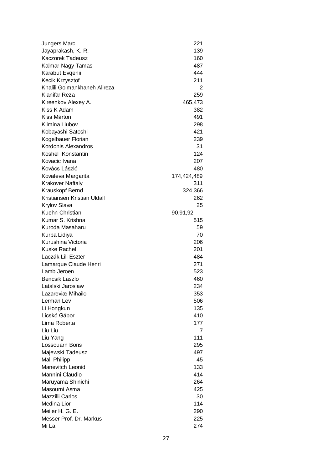| Jungers Marc                 | 221         |
|------------------------------|-------------|
| Jayaprakash, K. R.           | 139         |
| Kaczorek Tadeusz             | 160         |
| Kalmar-Nagy Tamas            | 487         |
| Karabut Evgenii              | 444         |
| Kecik Krzysztof              | 211         |
| Khalili Golmankhaneh Alireza | 2           |
| Kianifar Reza                | 259         |
| Kireenkov Alexey A.          | 465,473     |
| Kiss K Adam                  | 382         |
| Kiss Márton                  | 491         |
| Klimina Liubov               | 298         |
| Kobayashi Satoshi            | 421         |
| Kogelbauer Florian           | 239         |
| Kordonis Alexandros          | 31          |
| Koshel Konstantin            | 124         |
| Kovacic Ivana                | 207         |
| Kovács László                | 480         |
| Kovaleva Margarita           | 174,424,489 |
| <b>Krakover Naftaly</b>      | 311         |
| Krauskopf Bernd              | 324,366     |
| Kristiansen Kristian Uldall  | 262         |
| Krylov Slava                 | 25          |
| Kuehn Christian              | 90,91,92    |
| Kumar S. Krishna             | 515         |
| Kuroda Masaharu              | 59          |
| Kurpa Lidiya                 | 70          |
| Kurushina Victoria           | 206         |
| Kuske Rachel                 | 201         |
| Laczák Lili Eszter           | 484         |
| Lamarque Claude Henri        | 271         |
| Lamb Jeroen                  | 523         |
| <b>Bencsik Laszlo</b>        | 460         |
| Latalski Jaroslaw            | 234         |
| Lazareviæ Mihailo            | 353         |
| Lerman Lev                   | 506         |
| Li Hongkun                   | 135         |
| Licskó Gábor                 | 410         |
| Lima Roberta                 | 177         |
| Liu Liu                      | 7           |
| Liu Yang                     | 111         |
| Lossouarn Boris              | 295         |
| Majewski Tadeusz             | 497         |
| <b>Mall Philipp</b>          | 45          |
| Manevitch Leonid             | 133         |
| Mannini Claudio              | 414         |
| Maruyama Shinichi            | 264         |
| Masoumi Asma                 | 425         |
| Mazzilli Carlos              | 30          |
| Medina Lior                  | 114         |
| Meijer H. G. E.              | 290         |
| Messer Prof. Dr. Markus      | 225         |
| Mi La                        | 274         |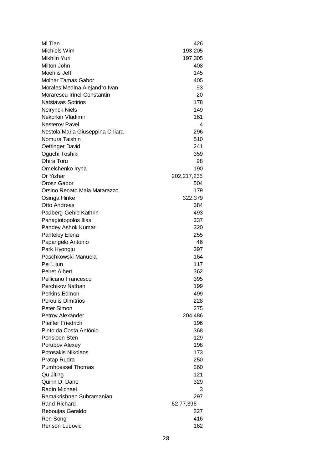| Mi Tian                         | 426         |
|---------------------------------|-------------|
| Michiels Wim                    | 193,205     |
| Mikhlin Yuri                    | 197,305     |
| Milton John                     | 408         |
| Moehlis Jeff                    | 145         |
| <b>Molnar Tamas Gabor</b>       | 405         |
| Morales Medina Alejandro Ivan   | 93          |
| Morarescu Irinel-Constantin     | 20          |
| <b>Natsiavas Sotirios</b>       | 178         |
| <b>Neirynck Niels</b>           | 149         |
| Nekorkin Vladimir               | 161         |
| <b>Nesterov Pavel</b>           | 4           |
| Nestola Maria Giuseppina Chiara | 296         |
| Nomura Taishin                  | 510         |
| Oettinger David                 | 241         |
| Oguchi Toshiki                  | 359         |
| Ohira Toru                      | 98          |
| Omelchenko Iryna                | 190         |
| Or Yizhar                       | 202,217,235 |
| Orosz Gabor                     | 504         |
| Orsino Renato Maia Matarazzo    | 179         |
| Osinga Hinke                    | 322,379     |
| <b>Otto Andreas</b>             | 384         |
| Padberg-Gehle Kathrin           | 493         |
| Panagiotopolos Ilias            | 337         |
| Pandey Ashok Kumar              | 320         |
| <b>Panteley Elena</b>           | 255         |
| Papangelo Antonio               | 46          |
| Park Hyongju                    | 397         |
| Paschkowski Manuela             | 164         |
| Pei Lijun                       | 117         |
| <b>Peiret Albert</b>            | 362         |
| Pellicano Francesco             | 395         |
| Perchikov Nathan                | 199         |
| Perkins Edmon                   | 499         |
| <b>Peroulis Dimitrios</b>       | 228         |
| Peter Simon                     | 275         |
| Petrov Alexander                | 204,486     |
| <b>Pfeiffer Friedrich</b>       | 196         |
| Pinto da Costa António          | 368         |
| Ponsioen Sten                   | 129         |
| Porubov Alexey                  | 198         |
| Potosakis Nikolaos              | 173         |
| Pratap Rudra                    | 250         |
| <b>Pumhoessel Thomas</b>        | 260         |
| Qu Jiting                       | 121         |
| Quinn D. Dane                   | 329         |
| Radin Michael                   | 3           |
| Ramakrishnan Subramanian        | 297         |
| <b>Rand Richard</b>             | 62,77,396   |
| Reboujas Geraldo                | 227         |
| Ren Song                        | 416         |
| Renson Ludovic                  | 162         |
|                                 |             |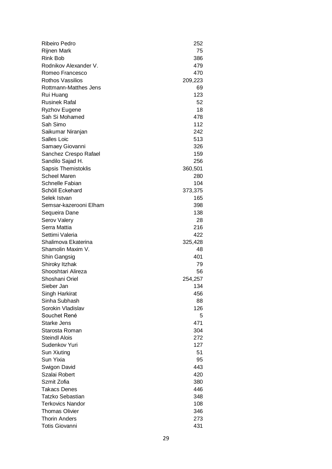| Ribeiro Pedro              | 252     |
|----------------------------|---------|
| <b>Rijnen Mark</b>         | 75      |
| <b>Rink Bob</b>            | 386     |
| Rodnikov Alexander V.      | 479     |
| Romeo Francesco            | 470     |
| <b>Rothos Vassilios</b>    | 209,223 |
| Rottmann-Matthes Jens      | 69      |
| Rui Huang                  | 123     |
| <b>Rusinek Rafal</b>       | 52      |
| <b>Ryzhov Eugene</b>       | 18      |
| Sah Si Mohamed             | 478     |
| Sah Simo                   | 112     |
| Saikumar Niranjan          | 242     |
| Salles Loic                | 513     |
| Samaey Giovanni            | 326     |
| Sanchez Crespo Rafael      | 159     |
| Sandilo Sajad H.           | 256     |
| <b>Sapsis Themistoklis</b> | 360,501 |
| <b>Scheel Maren</b>        | 280     |
| Schnelle Fabian            | 104     |
| Schöll Eckehard            | 373,375 |
| Selek Istvan               | 165     |
| Semsar-kazerooni Elham     | 398     |
| Sequeira Dane              | 138     |
| <b>Serov Valery</b>        | 28      |
| Serra Mattia               | 216     |
| Settimi Valeria            | 422     |
| Shalimova Ekaterina        | 325,428 |
| Shamolin Maxim V.          | 48      |
| Shin Gangsig               | 401     |
| Shiroky Itzhak             | 79      |
| Shooshtari Alireza         | 56      |
| Shoshani Oriel             | 254,257 |
| Sieber Jan                 | 134     |
| Singh Harkirat             | 456     |
| Sinha Subhash              | 88      |
| Sorokin Vladislav          | 126     |
| Souchet René               | 5       |
| Starke Jens                | 471     |
| Starosta Roman             | 304     |
| <b>Steindl Alois</b>       | 272     |
| Sudenkov Yuri              | 127     |
| Sun Xiuting                | 51      |
| Sun Yixia                  | 95      |
| Swigon David               | 443     |
| Szalai Robert              | 420     |
| Szmit Zofia                | 380     |
| <b>Takacs Denes</b>        | 446     |
| Tatzko Sebastian           | 348     |
| <b>Terkovics Nandor</b>    | 108     |
| <b>Thomas Olivier</b>      | 346     |
| <b>Thorin Anders</b>       | 273     |
| <b>Totis Giovanni</b>      | 431     |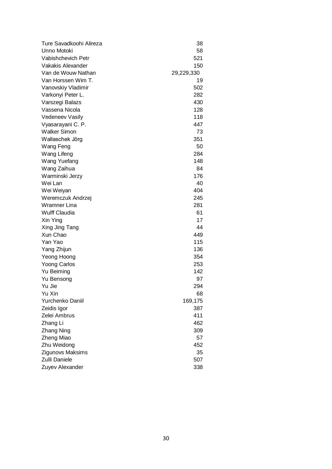| Ture Savadkoohi Alireza | 38         |
|-------------------------|------------|
| Unno Motoki             | 58         |
| Vabishchevich Petr      | 521        |
| Vakakis Alexander       | 150        |
| Van de Wouw Nathan      | 29,229,330 |
| Van Horssen Wim T.      | 19         |
| Vanovskiy Vladimir      | 502        |
| Varkonyi Peter L.       | 282        |
| Varszegi Balazs         | 430        |
| Vassena Nicola          | 128        |
| <b>Vedeneev Vasily</b>  | 118        |
| Vyasarayani C. P.       | 447        |
| <b>Walker Simon</b>     | 73         |
| Wallaschek Jörg         | 351        |
| Wang Feng               | 50         |
| Wang Lifeng             | 284        |
| Wang Yuefang            | 148        |
| Wang Zaihua             | 84         |
| Warminski Jerzy         | 176        |
| Wei Lan                 | 40         |
| Wei Weiyan              | 404        |
| Weremczuk Andrzej       | 245        |
| Wramner Lina            | 281        |
| <b>Wulff Claudia</b>    | 61         |
| Xin Ying                | 17         |
| Xing Jing Tang          | 44         |
| Xun Chao                | 449        |
| Yan Yao                 | 115        |
| Yang Zhijun             | 136        |
| Yeong Hoong             | 354        |
| <b>Yoong Carlos</b>     | 253        |
| Yu Beiming              | 142        |
| Yu Bensong              | 97         |
| Yu Jie                  | 294        |
| Yu Xin                  | 68         |
| Yurchenko Daniil        | 169,175    |
| Zeidis Igor             | 387        |
| Zelei Ambrus            | 411        |
| Zhang Li                | 462        |
| <b>Zhang Ning</b>       | 309        |
| Zheng Miao              | 57         |
| Zhu Weidong             | 452        |
| Zigunovs Maksims        | 35         |
| Zulli Daniele           | 507        |
| Zuyev Alexander         | 338        |